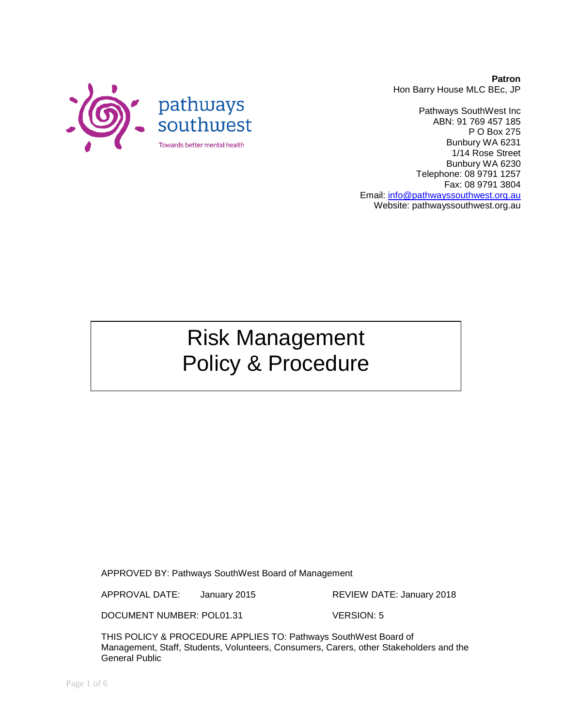

Pathways SouthWest Inc ABN: 91 769 457 185 P O Box 275 Bunbury WA 6231 1/14 Rose Street Bunbury WA 6230 Telephone: 08 9791 1257 Fax: 08 9791 3804 Email: [info@pathwayssouthwest.org.au](mailto:info@pathwayssouthwest.org.au) Website: pathwayssouthwest.org.au

# Risk Management Policy & Procedure

APPROVED BY: Pathways SouthWest Board of Management

APPROVAL DATE: January 2015 REVIEW DATE: January 2018

DOCUMENT NUMBER: POL01.31 VERSION: 5

THIS POLICY & PROCEDURE APPLIES TO: Pathways SouthWest Board of Management, Staff, Students, Volunteers, Consumers, Carers, other Stakeholders and the General Public

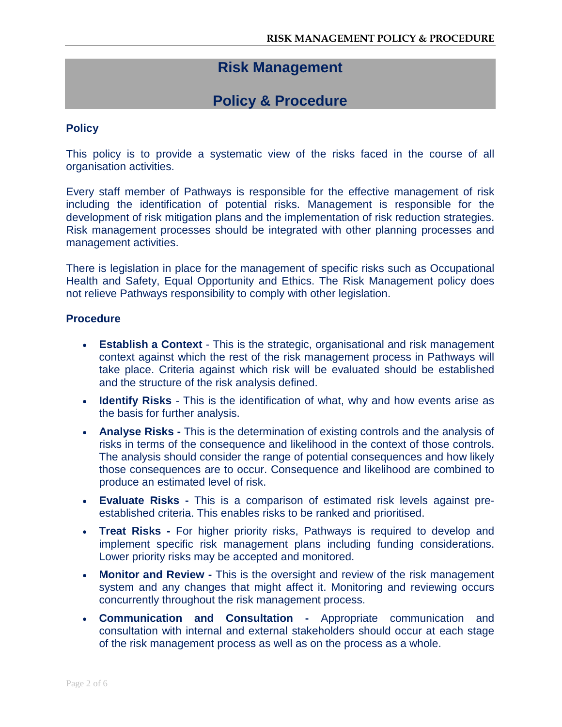# **Risk Management**

# **Policy & Procedure**

#### **Policy**

This policy is to provide a systematic view of the risks faced in the course of all organisation activities.

Every staff member of Pathways is responsible for the effective management of risk including the identification of potential risks. Management is responsible for the development of risk mitigation plans and the implementation of risk reduction strategies. Risk management processes should be integrated with other planning processes and management activities.

There is legislation in place for the management of specific risks such as Occupational Health and Safety, Equal Opportunity and Ethics. The Risk Management policy does not relieve Pathways responsibility to comply with other legislation.

#### **Procedure**

- **Establish a Context** This is the strategic, organisational and risk management context against which the rest of the risk management process in Pathways will take place. Criteria against which risk will be evaluated should be established and the structure of the risk analysis defined.
- **Identify Risks** This is the identification of what, why and how events arise as the basis for further analysis.
- **Analyse Risks -** This is the determination of existing controls and the analysis of risks in terms of the consequence and likelihood in the context of those controls. The analysis should consider the range of potential consequences and how likely those consequences are to occur. Consequence and likelihood are combined to produce an estimated level of risk.
- **Evaluate Risks -** This is a comparison of estimated risk levels against preestablished criteria. This enables risks to be ranked and prioritised.
- **Treat Risks -** For higher priority risks, Pathways is required to develop and implement specific risk management plans including funding considerations. Lower priority risks may be accepted and monitored.
- **Monitor and Review -** This is the oversight and review of the risk management system and any changes that might affect it. Monitoring and reviewing occurs concurrently throughout the risk management process.
- **Communication and Consultation -** Appropriate communication and consultation with internal and external stakeholders should occur at each stage of the risk management process as well as on the process as a whole.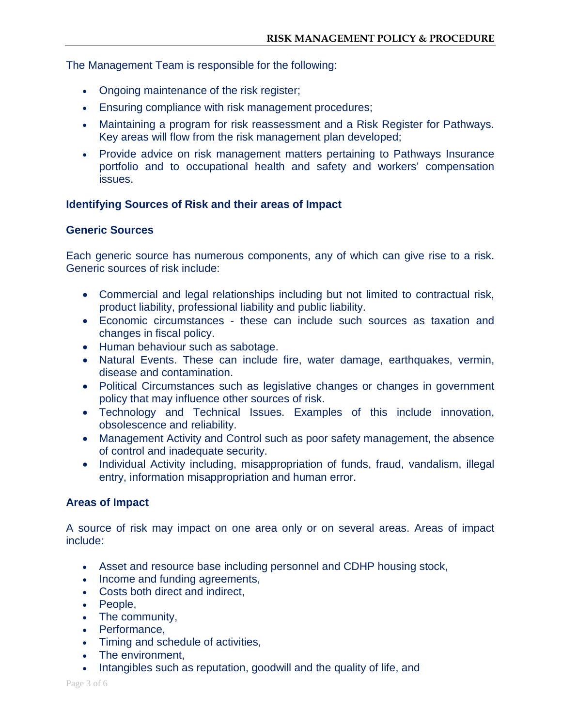The Management Team is responsible for the following:

- Ongoing maintenance of the risk register;
- Ensuring compliance with risk management procedures;
- Maintaining a program for risk reassessment and a Risk Register for Pathways. Key areas will flow from the risk management plan developed;
- Provide advice on risk management matters pertaining to Pathways Insurance portfolio and to occupational health and safety and workers' compensation issues.

# **Identifying Sources of Risk and their areas of Impact**

# **Generic Sources**

Each generic source has numerous components, any of which can give rise to a risk. Generic sources of risk include:

- Commercial and legal relationships including but not limited to contractual risk, product liability, professional liability and public liability.
- Economic circumstances these can include such sources as taxation and changes in fiscal policy.
- Human behaviour such as sabotage.
- Natural Events. These can include fire, water damage, earthquakes, vermin, disease and contamination.
- Political Circumstances such as legislative changes or changes in government policy that may influence other sources of risk.
- Technology and Technical Issues. Examples of this include innovation, obsolescence and reliability.
- Management Activity and Control such as poor safety management, the absence of control and inadequate security.
- Individual Activity including, misappropriation of funds, fraud, vandalism, illegal entry, information misappropriation and human error.

# **Areas of Impact**

A source of risk may impact on one area only or on several areas. Areas of impact include:

- Asset and resource base including personnel and CDHP housing stock,
- Income and funding agreements,
- Costs both direct and indirect,
- People,
- The community,
- Performance,
- Timing and schedule of activities,
- The environment.
- Intangibles such as reputation, goodwill and the quality of life, and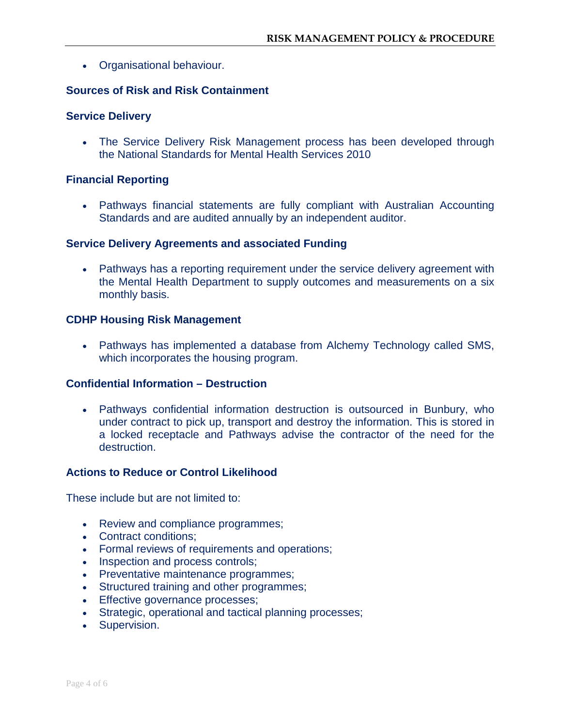• Organisational behaviour.

### **Sources of Risk and Risk Containment**

#### **Service Delivery**

• The Service Delivery Risk Management process has been developed through the National Standards for Mental Health Services 2010

#### **Financial Reporting**

• Pathways financial statements are fully compliant with Australian Accounting Standards and are audited annually by an independent auditor.

#### **Service Delivery Agreements and associated Funding**

• Pathways has a reporting requirement under the service delivery agreement with the Mental Health Department to supply outcomes and measurements on a six monthly basis.

#### **CDHP Housing Risk Management**

• Pathways has implemented a database from Alchemy Technology called SMS, which incorporates the housing program.

#### **Confidential Information – Destruction**

• Pathways confidential information destruction is outsourced in Bunbury, who under contract to pick up, transport and destroy the information. This is stored in a locked receptacle and Pathways advise the contractor of the need for the destruction.

#### **Actions to Reduce or Control Likelihood**

These include but are not limited to:

- Review and compliance programmes;
- Contract conditions;
- Formal reviews of requirements and operations;
- Inspection and process controls;
- Preventative maintenance programmes;
- Structured training and other programmes;
- Effective governance processes;
- Strategic, operational and tactical planning processes;
- Supervision.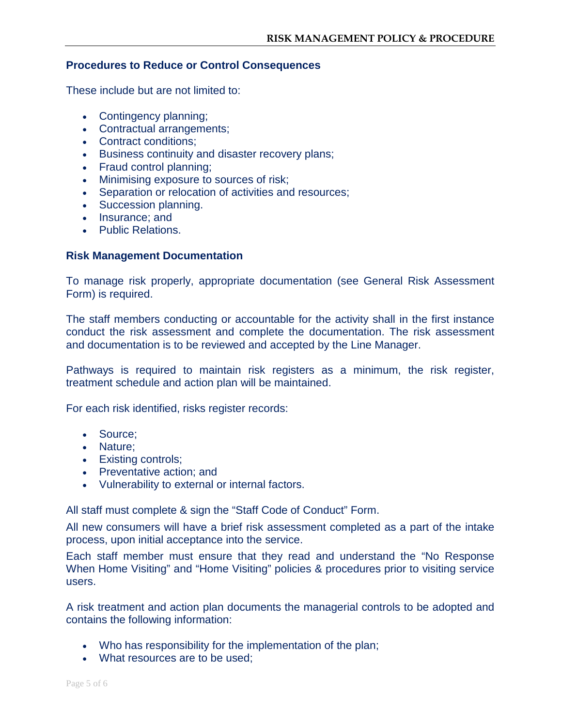#### **Procedures to Reduce or Control Consequences**

These include but are not limited to:

- Contingency planning;
- Contractual arrangements;
- Contract conditions;
- Business continuity and disaster recovery plans;
- Fraud control planning;
- Minimising exposure to sources of risk;
- Separation or relocation of activities and resources;
- Succession planning.
- Insurance; and
- Public Relations.

#### **Risk Management Documentation**

To manage risk properly, appropriate documentation (see General Risk Assessment Form) is required.

The staff members conducting or accountable for the activity shall in the first instance conduct the risk assessment and complete the documentation. The risk assessment and documentation is to be reviewed and accepted by the Line Manager.

Pathways is required to maintain risk registers as a minimum, the risk register, treatment schedule and action plan will be maintained.

For each risk identified, risks register records:

- Source;
- Nature;
- Existing controls;
- Preventative action; and
- Vulnerability to external or internal factors.

All staff must complete & sign the "Staff Code of Conduct" Form.

All new consumers will have a brief risk assessment completed as a part of the intake process, upon initial acceptance into the service.

Each staff member must ensure that they read and understand the "No Response When Home Visiting" and "Home Visiting" policies & procedures prior to visiting service users.

A risk treatment and action plan documents the managerial controls to be adopted and contains the following information:

- Who has responsibility for the implementation of the plan;
- What resources are to be used;